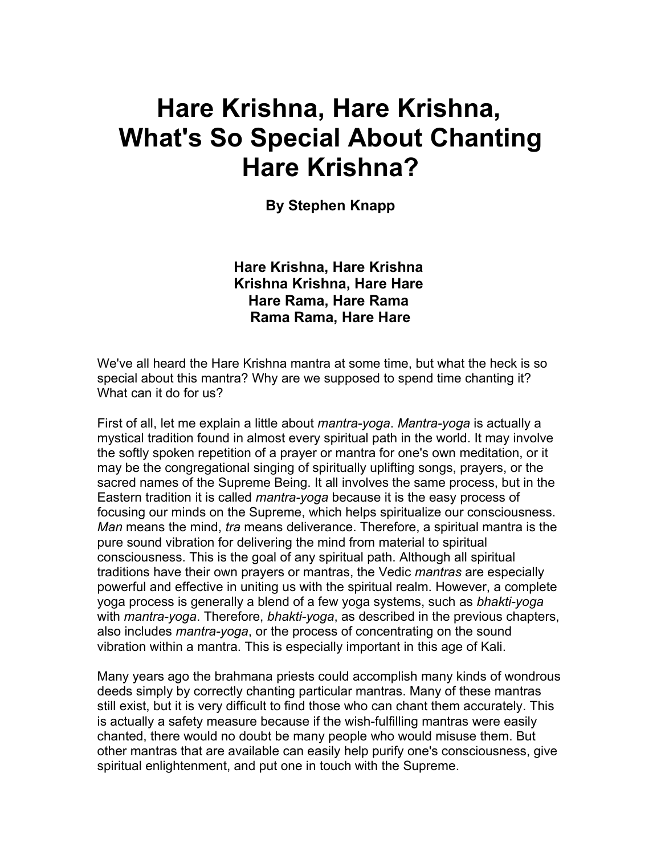# **Hare Krishna, Hare Krishna, What's So Special About Chanting Hare Krishna?**

**By Stephen Knapp**

**Hare Krishna, Hare Krishna Krishna Krishna, Hare Hare Hare Rama, Hare Rama Rama Rama, Hare Hare**

We've all heard the Hare Krishna mantra at some time, but what the heck is so special about this mantra? Why are we supposed to spend time chanting it? What can it do for us?

First of all, let me explain a little about *mantra-yoga*. *Mantra-yoga* is actually a mystical tradition found in almost every spiritual path in the world. It may involve the softly spoken repetition of a prayer or mantra for one's own meditation, or it may be the congregational singing of spiritually uplifting songs, prayers, or the sacred names of the Supreme Being. It all involves the same process, but in the Eastern tradition it is called *mantra-yoga* because it is the easy process of focusing our minds on the Supreme, which helps spiritualize our consciousness. *Man* means the mind, *tra* means deliverance. Therefore, a spiritual mantra is the pure sound vibration for delivering the mind from material to spiritual consciousness. This is the goal of any spiritual path. Although all spiritual traditions have their own prayers or mantras, the Vedic *mantras* are especially powerful and effective in uniting us with the spiritual realm. However, a complete yoga process is generally a blend of a few yoga systems, such as *bhakti-yoga* with *mantra-yoga*. Therefore, *bhakti-yoga*, as described in the previous chapters, also includes *mantra-yoga*, or the process of concentrating on the sound vibration within a mantra. This is especially important in this age of Kali.

Many years ago the brahmana priests could accomplish many kinds of wondrous deeds simply by correctly chanting particular mantras. Many of these mantras still exist, but it is very difficult to find those who can chant them accurately. This is actually a safety measure because if the wish-fulfilling mantras were easily chanted, there would no doubt be many people who would misuse them. But other mantras that are available can easily help purify one's consciousness, give spiritual enlightenment, and put one in touch with the Supreme.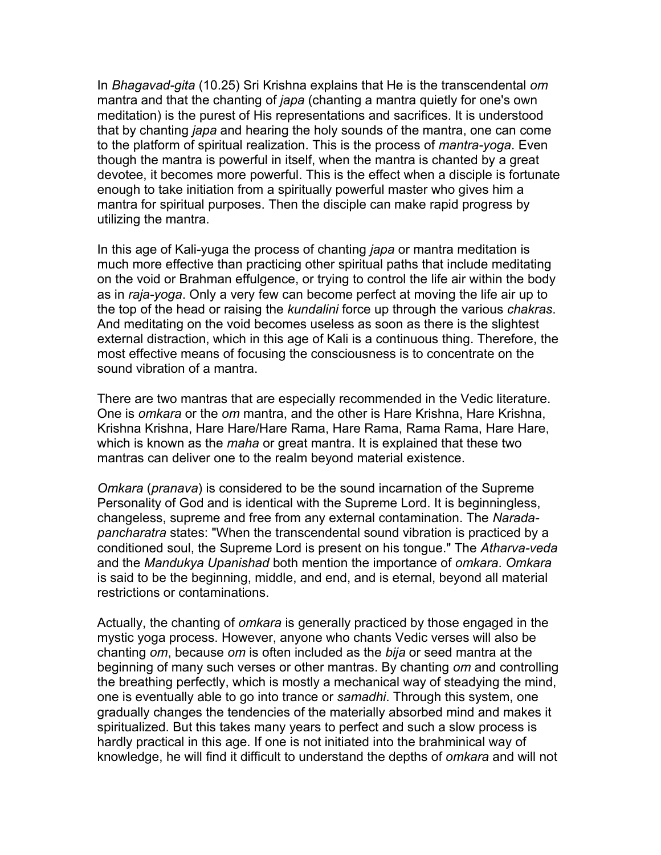In *Bhagavad-gita* (10.25) Sri Krishna explains that He is the transcendental *om* mantra and that the chanting of *japa* (chanting a mantra quietly for one's own meditation) is the purest of His representations and sacrifices. It is understood that by chanting *japa* and hearing the holy sounds of the mantra, one can come to the platform of spiritual realization. This is the process of *mantra-yoga*. Even though the mantra is powerful in itself, when the mantra is chanted by a great devotee, it becomes more powerful. This is the effect when a disciple is fortunate enough to take initiation from a spiritually powerful master who gives him a mantra for spiritual purposes. Then the disciple can make rapid progress by utilizing the mantra.

In this age of Kali-yuga the process of chanting *japa* or mantra meditation is much more effective than practicing other spiritual paths that include meditating on the void or Brahman effulgence, or trying to control the life air within the body as in *raja-yoga*. Only a very few can become perfect at moving the life air up to the top of the head or raising the *kundalini* force up through the various *chakras*. And meditating on the void becomes useless as soon as there is the slightest external distraction, which in this age of Kali is a continuous thing. Therefore, the most effective means of focusing the consciousness is to concentrate on the sound vibration of a mantra.

There are two mantras that are especially recommended in the Vedic literature. One is *omkara* or the *om* mantra, and the other is Hare Krishna, Hare Krishna, Krishna Krishna, Hare Hare/Hare Rama, Hare Rama, Rama Rama, Hare Hare, which is known as the *maha* or great mantra. It is explained that these two mantras can deliver one to the realm beyond material existence.

*Omkara* (*pranava*) is considered to be the sound incarnation of the Supreme Personality of God and is identical with the Supreme Lord. It is beginningless, changeless, supreme and free from any external contamination. The *Naradapancharatra* states: "When the transcendental sound vibration is practiced by a conditioned soul, the Supreme Lord is present on his tongue." The *Atharva-veda* and the *Mandukya Upanishad* both mention the importance of *omkara*. *Omkara* is said to be the beginning, middle, and end, and is eternal, beyond all material restrictions or contaminations.

Actually, the chanting of *omkara* is generally practiced by those engaged in the mystic yoga process. However, anyone who chants Vedic verses will also be chanting *om*, because *om* is often included as the *bija* or seed mantra at the beginning of many such verses or other mantras. By chanting *om* and controlling the breathing perfectly, which is mostly a mechanical way of steadying the mind, one is eventually able to go into trance or *samadhi*. Through this system, one gradually changes the tendencies of the materially absorbed mind and makes it spiritualized. But this takes many years to perfect and such a slow process is hardly practical in this age. If one is not initiated into the brahminical way of knowledge, he will find it difficult to understand the depths of *omkara* and will not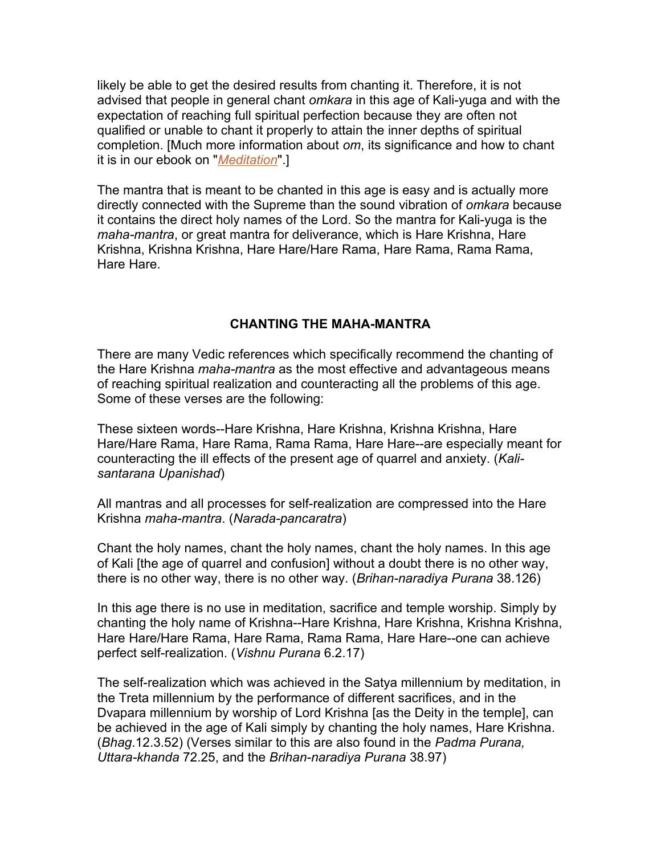likely be able to get the desired results from chanting it. Therefore, it is not advised that people in general chant *omkara* in this age of Kali-yuga and with the expectation of reaching full spiritual perfection because they are often not qualified or unable to chant it properly to attain the inner depths of spiritual completion. [Much more information about *om*, its significance and how to chant it is in our ebook on "*[Meditation](http://www.stephen-knapp.com/meditation.htm)*".]

The mantra that is meant to be chanted in this age is easy and is actually more directly connected with the Supreme than the sound vibration of *omkara* because it contains the direct holy names of the Lord. So the mantra for Kali-yuga is the *maha-mantra*, or great mantra for deliverance, which is Hare Krishna, Hare Krishna, Krishna Krishna, Hare Hare/Hare Rama, Hare Rama, Rama Rama, Hare Hare.

## **CHANTING THE MAHA-MANTRA**

There are many Vedic references which specifically recommend the chanting of the Hare Krishna *maha-mantra* as the most effective and advantageous means of reaching spiritual realization and counteracting all the problems of this age. Some of these verses are the following:

These sixteen words--Hare Krishna, Hare Krishna, Krishna Krishna, Hare Hare/Hare Rama, Hare Rama, Rama Rama, Hare Hare--are especially meant for counteracting the ill effects of the present age of quarrel and anxiety. (*Kalisantarana Upanishad*)

All mantras and all processes for self-realization are compressed into the Hare Krishna *maha-mantra*. (*Narada-pancaratra*)

Chant the holy names, chant the holy names, chant the holy names. In this age of Kali [the age of quarrel and confusion] without a doubt there is no other way, there is no other way, there is no other way. (*Brihan-naradiya Purana* 38.126)

In this age there is no use in meditation, sacrifice and temple worship. Simply by chanting the holy name of Krishna--Hare Krishna, Hare Krishna, Krishna Krishna, Hare Hare/Hare Rama, Hare Rama, Rama Rama, Hare Hare--one can achieve perfect self-realization. (*Vishnu Purana* 6.2.17)

The self-realization which was achieved in the Satya millennium by meditation, in the Treta millennium by the performance of different sacrifices, and in the Dvapara millennium by worship of Lord Krishna [as the Deity in the temple], can be achieved in the age of Kali simply by chanting the holy names, Hare Krishna. (*Bhag*.12.3.52) (Verses similar to this are also found in the *Padma Purana, Uttara-khanda* 72.25, and the *Brihan-naradiya Purana* 38.97)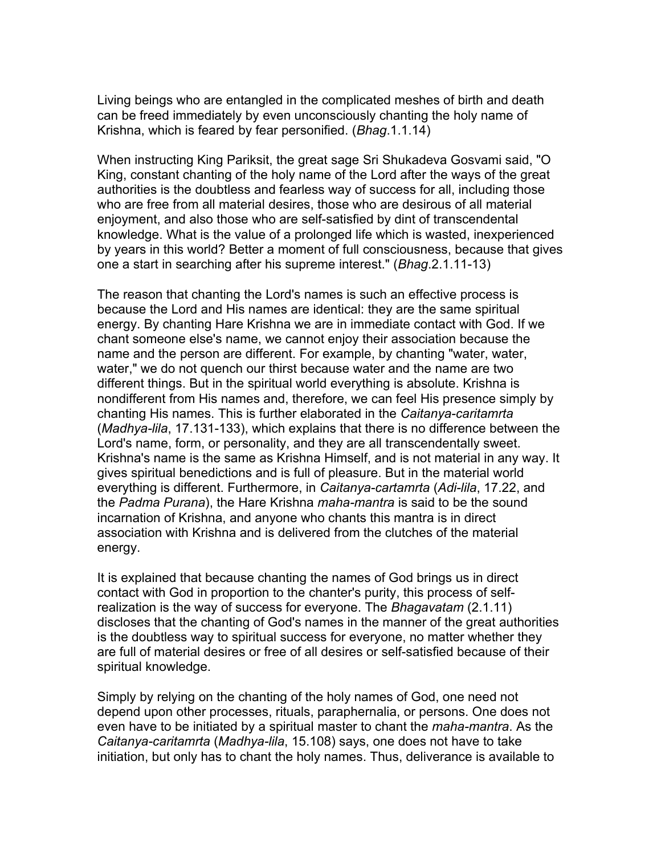Living beings who are entangled in the complicated meshes of birth and death can be freed immediately by even unconsciously chanting the holy name of Krishna, which is feared by fear personified. (*Bhag*.1.1.14)

When instructing King Pariksit, the great sage Sri Shukadeva Gosvami said, "O King, constant chanting of the holy name of the Lord after the ways of the great authorities is the doubtless and fearless way of success for all, including those who are free from all material desires, those who are desirous of all material enjoyment, and also those who are self-satisfied by dint of transcendental knowledge. What is the value of a prolonged life which is wasted, inexperienced by years in this world? Better a moment of full consciousness, because that gives one a start in searching after his supreme interest." (*Bhag*.2.1.11-13)

The reason that chanting the Lord's names is such an effective process is because the Lord and His names are identical: they are the same spiritual energy. By chanting Hare Krishna we are in immediate contact with God. If we chant someone else's name, we cannot enjoy their association because the name and the person are different. For example, by chanting "water, water, water," we do not quench our thirst because water and the name are two different things. But in the spiritual world everything is absolute. Krishna is nondifferent from His names and, therefore, we can feel His presence simply by chanting His names. This is further elaborated in the *Caitanya-caritamrta* (*Madhya-lila*, 17.131-133), which explains that there is no difference between the Lord's name, form, or personality, and they are all transcendentally sweet. Krishna's name is the same as Krishna Himself, and is not material in any way. It gives spiritual benedictions and is full of pleasure. But in the material world everything is different. Furthermore, in *Caitanya-cartamrta* (*Adi-lila*, 17.22, and the *Padma Purana*), the Hare Krishna *maha-mantra* is said to be the sound incarnation of Krishna, and anyone who chants this mantra is in direct association with Krishna and is delivered from the clutches of the material energy.

It is explained that because chanting the names of God brings us in direct contact with God in proportion to the chanter's purity, this process of selfrealization is the way of success for everyone. The *Bhagavatam* (2.1.11) discloses that the chanting of God's names in the manner of the great authorities is the doubtless way to spiritual success for everyone, no matter whether they are full of material desires or free of all desires or self-satisfied because of their spiritual knowledge.

Simply by relying on the chanting of the holy names of God, one need not depend upon other processes, rituals, paraphernalia, or persons. One does not even have to be initiated by a spiritual master to chant the *maha-mantra*. As the *Caitanya-caritamrta* (*Madhya-lila*, 15.108) says, one does not have to take initiation, but only has to chant the holy names. Thus, deliverance is available to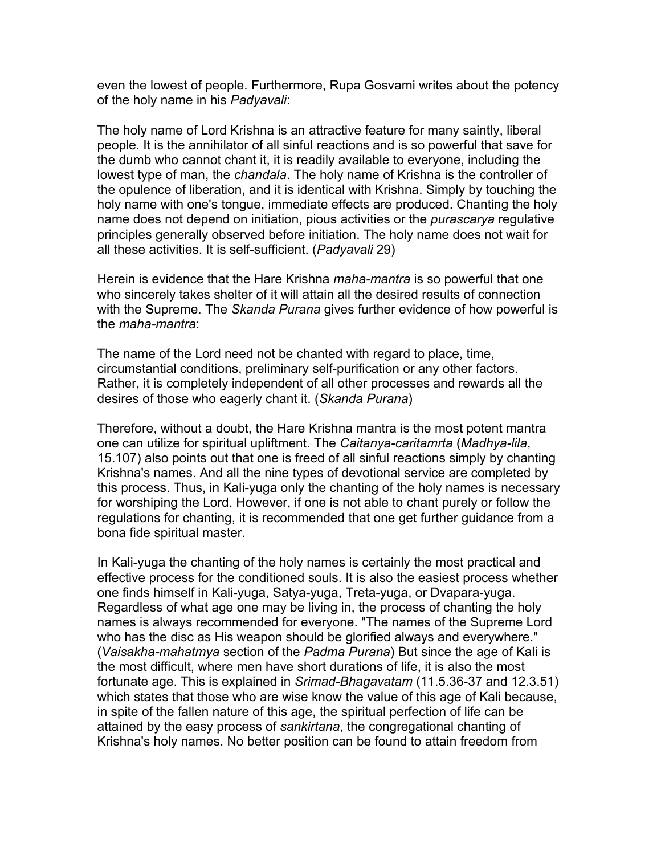even the lowest of people. Furthermore, Rupa Gosvami writes about the potency of the holy name in his *Padyavali*:

The holy name of Lord Krishna is an attractive feature for many saintly, liberal people. It is the annihilator of all sinful reactions and is so powerful that save for the dumb who cannot chant it, it is readily available to everyone, including the lowest type of man, the *chandala*. The holy name of Krishna is the controller of the opulence of liberation, and it is identical with Krishna. Simply by touching the holy name with one's tongue, immediate effects are produced. Chanting the holy name does not depend on initiation, pious activities or the *purascarya* regulative principles generally observed before initiation. The holy name does not wait for all these activities. It is self-sufficient. (*Padyavali* 29)

Herein is evidence that the Hare Krishna *maha-mantra* is so powerful that one who sincerely takes shelter of it will attain all the desired results of connection with the Supreme. The *Skanda Purana* gives further evidence of how powerful is the *maha-mantra*:

The name of the Lord need not be chanted with regard to place, time, circumstantial conditions, preliminary self-purification or any other factors. Rather, it is completely independent of all other processes and rewards all the desires of those who eagerly chant it. (*Skanda Purana*)

Therefore, without a doubt, the Hare Krishna mantra is the most potent mantra one can utilize for spiritual upliftment. The *Caitanya-caritamrta* (*Madhya-lila*, 15.107) also points out that one is freed of all sinful reactions simply by chanting Krishna's names. And all the nine types of devotional service are completed by this process. Thus, in Kali-yuga only the chanting of the holy names is necessary for worshiping the Lord. However, if one is not able to chant purely or follow the regulations for chanting, it is recommended that one get further guidance from a bona fide spiritual master.

In Kali-yuga the chanting of the holy names is certainly the most practical and effective process for the conditioned souls. It is also the easiest process whether one finds himself in Kali-yuga, Satya-yuga, Treta-yuga, or Dvapara-yuga. Regardless of what age one may be living in, the process of chanting the holy names is always recommended for everyone. "The names of the Supreme Lord who has the disc as His weapon should be glorified always and everywhere." (*Vaisakha-mahatmya* section of the *Padma Purana*) But since the age of Kali is the most difficult, where men have short durations of life, it is also the most fortunate age. This is explained in *Srimad-Bhagavatam* (11.5.36-37 and 12.3.51) which states that those who are wise know the value of this age of Kali because, in spite of the fallen nature of this age, the spiritual perfection of life can be attained by the easy process of *sankirtana*, the congregational chanting of Krishna's holy names. No better position can be found to attain freedom from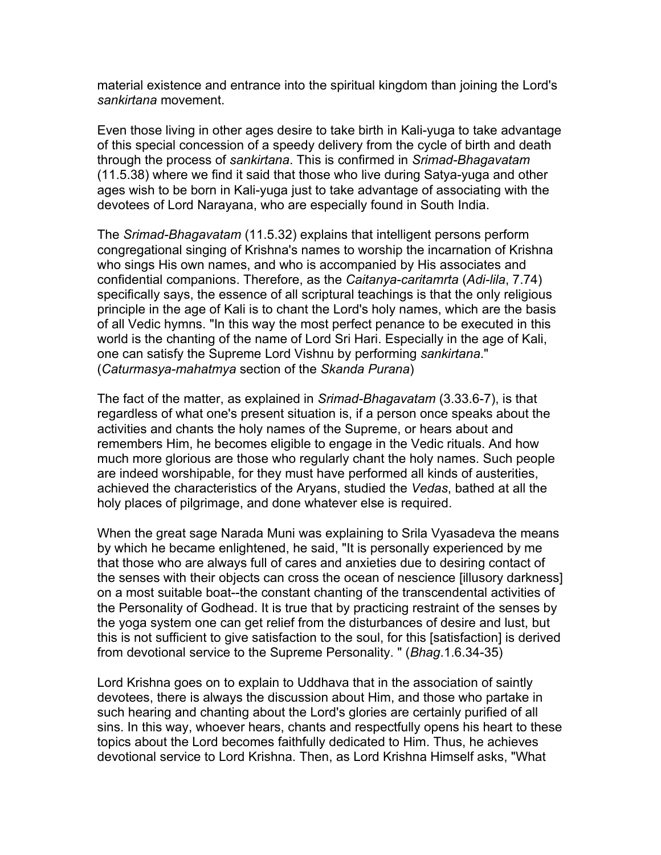material existence and entrance into the spiritual kingdom than joining the Lord's *sankirtana* movement.

Even those living in other ages desire to take birth in Kali-yuga to take advantage of this special concession of a speedy delivery from the cycle of birth and death through the process of *sankirtana*. This is confirmed in *Srimad-Bhagavatam* (11.5.38) where we find it said that those who live during Satya-yuga and other ages wish to be born in Kali-yuga just to take advantage of associating with the devotees of Lord Narayana, who are especially found in South India.

The *Srimad-Bhagavatam* (11.5.32) explains that intelligent persons perform congregational singing of Krishna's names to worship the incarnation of Krishna who sings His own names, and who is accompanied by His associates and confidential companions. Therefore, as the *Caitanya-caritamrta* (*Adi-lila*, 7.74) specifically says, the essence of all scriptural teachings is that the only religious principle in the age of Kali is to chant the Lord's holy names, which are the basis of all Vedic hymns. "In this way the most perfect penance to be executed in this world is the chanting of the name of Lord Sri Hari. Especially in the age of Kali, one can satisfy the Supreme Lord Vishnu by performing *sankirtana*." (*Caturmasya-mahatmya* section of the *Skanda Purana*)

The fact of the matter, as explained in *Srimad-Bhagavatam* (3.33.6-7), is that regardless of what one's present situation is, if a person once speaks about the activities and chants the holy names of the Supreme, or hears about and remembers Him, he becomes eligible to engage in the Vedic rituals. And how much more glorious are those who regularly chant the holy names. Such people are indeed worshipable, for they must have performed all kinds of austerities, achieved the characteristics of the Aryans, studied the *Vedas*, bathed at all the holy places of pilgrimage, and done whatever else is required.

When the great sage Narada Muni was explaining to Srila Vyasadeva the means by which he became enlightened, he said, "It is personally experienced by me that those who are always full of cares and anxieties due to desiring contact of the senses with their objects can cross the ocean of nescience [illusory darkness] on a most suitable boat--the constant chanting of the transcendental activities of the Personality of Godhead. It is true that by practicing restraint of the senses by the yoga system one can get relief from the disturbances of desire and lust, but this is not sufficient to give satisfaction to the soul, for this [satisfaction] is derived from devotional service to the Supreme Personality. " (*Bhag*.1.6.34-35)

Lord Krishna goes on to explain to Uddhava that in the association of saintly devotees, there is always the discussion about Him, and those who partake in such hearing and chanting about the Lord's glories are certainly purified of all sins. In this way, whoever hears, chants and respectfully opens his heart to these topics about the Lord becomes faithfully dedicated to Him. Thus, he achieves devotional service to Lord Krishna. Then, as Lord Krishna Himself asks, "What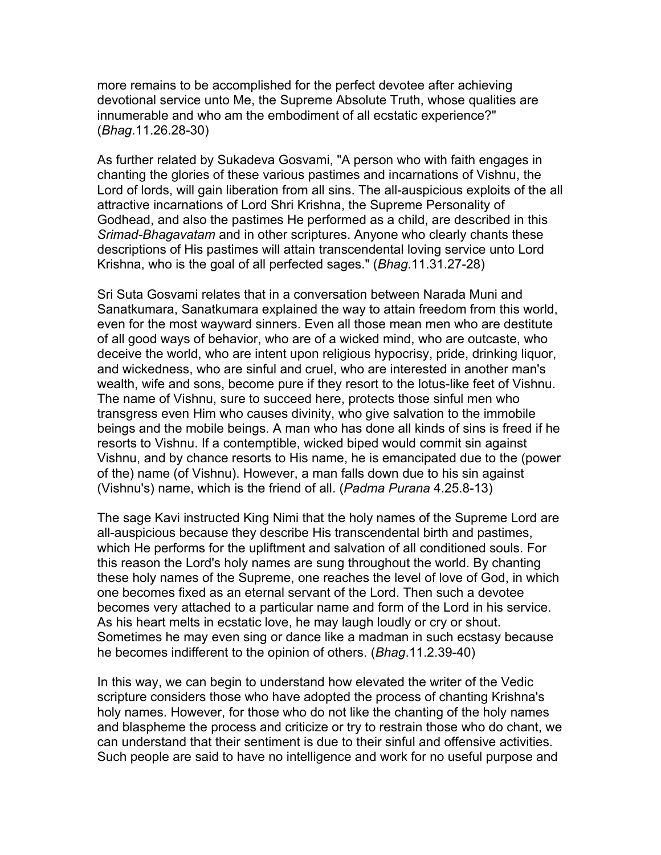more remains to be accomplished for the perfect devotee after achieving devotional service unto Me, the Supreme Absolute Truth, whose qualities are innumerable and who am the embodiment of all ecstatic experience?" (*Bhag*.11.26.28-30)

As further related by Sukadeva Gosvami, "A person who with faith engages in chanting the glories of these various pastimes and incarnations of Vishnu, the Lord of lords, will gain liberation from all sins. The all-auspicious exploits of the all attractive incarnations of Lord Shri Krishna, the Supreme Personality of Godhead, and also the pastimes He performed as a child, are described in this *Srimad-Bhagavatam* and in other scriptures. Anyone who clearly chants these descriptions of His pastimes will attain transcendental loving service unto Lord Krishna, who is the goal of all perfected sages." (*Bhag*.11.31.27-28)

Sri Suta Gosvami relates that in a conversation between Narada Muni and Sanatkumara, Sanatkumara explained the way to attain freedom from this world, even for the most wayward sinners. Even all those mean men who are destitute of all good ways of behavior, who are of a wicked mind, who are outcaste, who deceive the world, who are intent upon religious hypocrisy, pride, drinking liquor, and wickedness, who are sinful and cruel, who are interested in another man's wealth, wife and sons, become pure if they resort to the lotus-like feet of Vishnu. The name of Vishnu, sure to succeed here, protects those sinful men who transgress even Him who causes divinity, who give salvation to the immobile beings and the mobile beings. A man who has done all kinds of sins is freed if he resorts to Vishnu. If a contemptible, wicked biped would commit sin against Vishnu, and by chance resorts to His name, he is emancipated due to the (power of the) name (of Vishnu). However, a man falls down due to his sin against (Vishnu's) name, which is the friend of all. (*Padma Purana* 4.25.8-13)

The sage Kavi instructed King Nimi that the holy names of the Supreme Lord are all-auspicious because they describe His transcendental birth and pastimes, which He performs for the upliftment and salvation of all conditioned souls. For this reason the Lord's holy names are sung throughout the world. By chanting these holy names of the Supreme, one reaches the level of love of God, in which one becomes fixed as an eternal servant of the Lord. Then such a devotee becomes very attached to a particular name and form of the Lord in his service. As his heart melts in ecstatic love, he may laugh loudly or cry or shout. Sometimes he may even sing or dance like a madman in such ecstasy because he becomes indifferent to the opinion of others. (*Bhag*.11.2.39-40)

In this way, we can begin to understand how elevated the writer of the Vedic scripture considers those who have adopted the process of chanting Krishna's holy names. However, for those who do not like the chanting of the holy names and blaspheme the process and criticize or try to restrain those who do chant, we can understand that their sentiment is due to their sinful and offensive activities. Such people are said to have no intelligence and work for no useful purpose and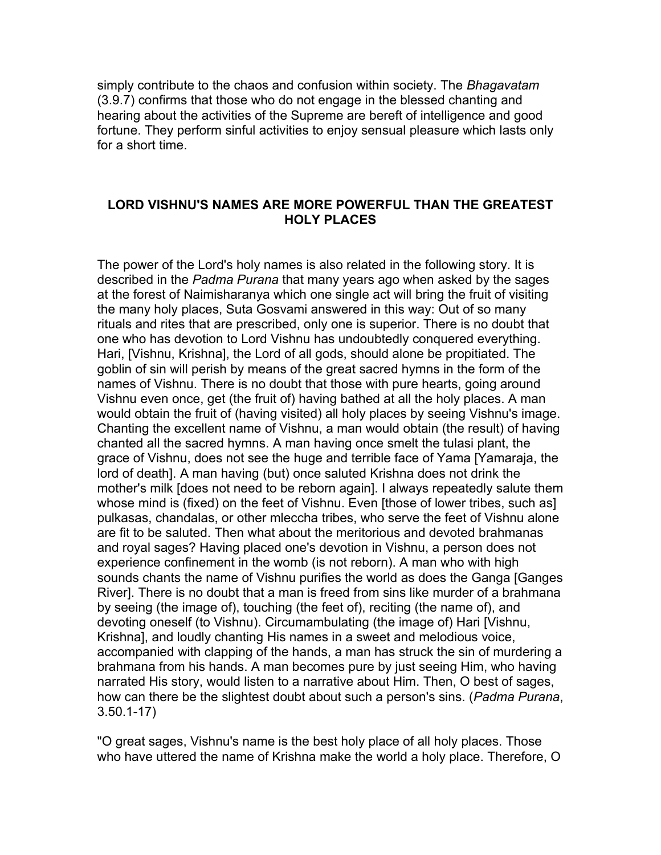simply contribute to the chaos and confusion within society. The *Bhagavatam* (3.9.7) confirms that those who do not engage in the blessed chanting and hearing about the activities of the Supreme are bereft of intelligence and good fortune. They perform sinful activities to enjoy sensual pleasure which lasts only for a short time.

### **LORD VISHNU'S NAMES ARE MORE POWERFUL THAN THE GREATEST HOLY PLACES**

The power of the Lord's holy names is also related in the following story. It is described in the *Padma Purana* that many years ago when asked by the sages at the forest of Naimisharanya which one single act will bring the fruit of visiting the many holy places, Suta Gosvami answered in this way: Out of so many rituals and rites that are prescribed, only one is superior. There is no doubt that one who has devotion to Lord Vishnu has undoubtedly conquered everything. Hari, [Vishnu, Krishna], the Lord of all gods, should alone be propitiated. The goblin of sin will perish by means of the great sacred hymns in the form of the names of Vishnu. There is no doubt that those with pure hearts, going around Vishnu even once, get (the fruit of) having bathed at all the holy places. A man would obtain the fruit of (having visited) all holy places by seeing Vishnu's image. Chanting the excellent name of Vishnu, a man would obtain (the result) of having chanted all the sacred hymns. A man having once smelt the tulasi plant, the grace of Vishnu, does not see the huge and terrible face of Yama [Yamaraja, the lord of death]. A man having (but) once saluted Krishna does not drink the mother's milk [does not need to be reborn again]. I always repeatedly salute them whose mind is (fixed) on the feet of Vishnu. Even [those of lower tribes, such as] pulkasas, chandalas, or other mleccha tribes, who serve the feet of Vishnu alone are fit to be saluted. Then what about the meritorious and devoted brahmanas and royal sages? Having placed one's devotion in Vishnu, a person does not experience confinement in the womb (is not reborn). A man who with high sounds chants the name of Vishnu purifies the world as does the Ganga [Ganges River]. There is no doubt that a man is freed from sins like murder of a brahmana by seeing (the image of), touching (the feet of), reciting (the name of), and devoting oneself (to Vishnu). Circumambulating (the image of) Hari [Vishnu, Krishna], and loudly chanting His names in a sweet and melodious voice, accompanied with clapping of the hands, a man has struck the sin of murdering a brahmana from his hands. A man becomes pure by just seeing Him, who having narrated His story, would listen to a narrative about Him. Then, O best of sages, how can there be the slightest doubt about such a person's sins. (*Padma Purana*, 3.50.1-17)

"O great sages, Vishnu's name is the best holy place of all holy places. Those who have uttered the name of Krishna make the world a holy place. Therefore, O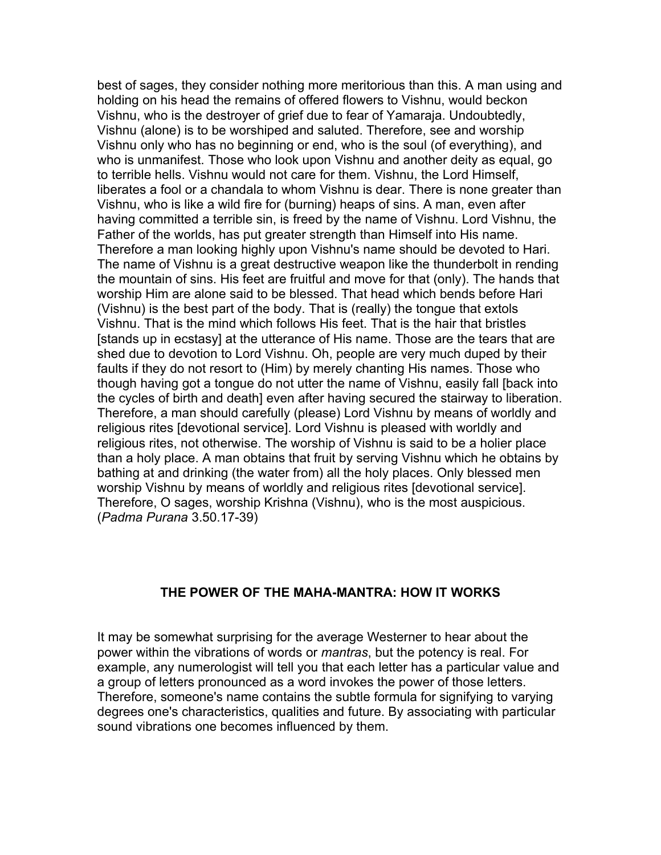best of sages, they consider nothing more meritorious than this. A man using and holding on his head the remains of offered flowers to Vishnu, would beckon Vishnu, who is the destroyer of grief due to fear of Yamaraja. Undoubtedly, Vishnu (alone) is to be worshiped and saluted. Therefore, see and worship Vishnu only who has no beginning or end, who is the soul (of everything), and who is unmanifest. Those who look upon Vishnu and another deity as equal, go to terrible hells. Vishnu would not care for them. Vishnu, the Lord Himself, liberates a fool or a chandala to whom Vishnu is dear. There is none greater than Vishnu, who is like a wild fire for (burning) heaps of sins. A man, even after having committed a terrible sin, is freed by the name of Vishnu. Lord Vishnu, the Father of the worlds, has put greater strength than Himself into His name. Therefore a man looking highly upon Vishnu's name should be devoted to Hari. The name of Vishnu is a great destructive weapon like the thunderbolt in rending the mountain of sins. His feet are fruitful and move for that (only). The hands that worship Him are alone said to be blessed. That head which bends before Hari (Vishnu) is the best part of the body. That is (really) the tongue that extols Vishnu. That is the mind which follows His feet. That is the hair that bristles [stands up in ecstasy] at the utterance of His name. Those are the tears that are shed due to devotion to Lord Vishnu. Oh, people are very much duped by their faults if they do not resort to (Him) by merely chanting His names. Those who though having got a tongue do not utter the name of Vishnu, easily fall [back into the cycles of birth and death] even after having secured the stairway to liberation. Therefore, a man should carefully (please) Lord Vishnu by means of worldly and religious rites [devotional service]. Lord Vishnu is pleased with worldly and religious rites, not otherwise. The worship of Vishnu is said to be a holier place than a holy place. A man obtains that fruit by serving Vishnu which he obtains by bathing at and drinking (the water from) all the holy places. Only blessed men worship Vishnu by means of worldly and religious rites [devotional service]. Therefore, O sages, worship Krishna (Vishnu), who is the most auspicious. (*Padma Purana* 3.50.17-39)

## **THE POWER OF THE MAHA-MANTRA: HOW IT WORKS**

It may be somewhat surprising for the average Westerner to hear about the power within the vibrations of words or *mantras*, but the potency is real. For example, any numerologist will tell you that each letter has a particular value and a group of letters pronounced as a word invokes the power of those letters. Therefore, someone's name contains the subtle formula for signifying to varying degrees one's characteristics, qualities and future. By associating with particular sound vibrations one becomes influenced by them.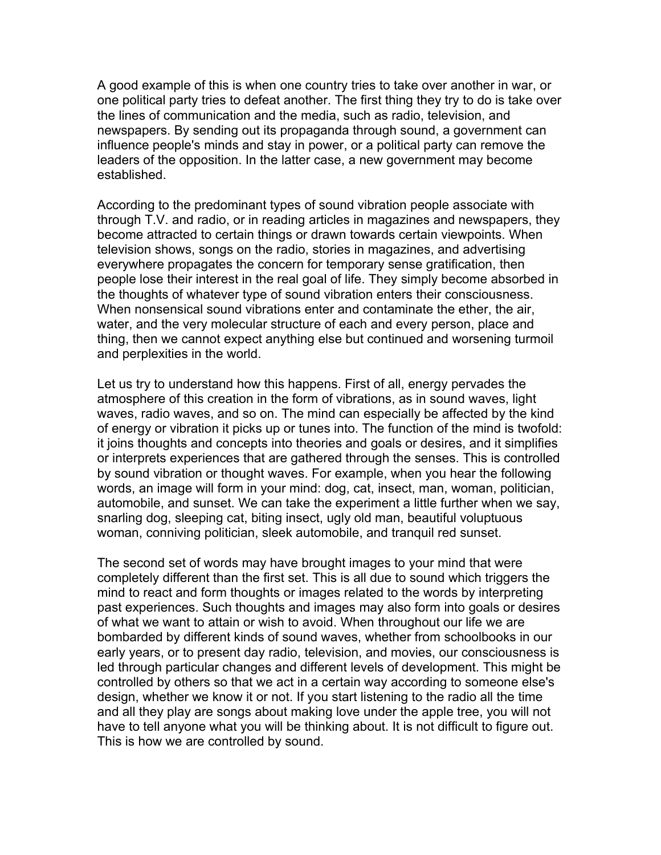A good example of this is when one country tries to take over another in war, or one political party tries to defeat another. The first thing they try to do is take over the lines of communication and the media, such as radio, television, and newspapers. By sending out its propaganda through sound, a government can influence people's minds and stay in power, or a political party can remove the leaders of the opposition. In the latter case, a new government may become established.

According to the predominant types of sound vibration people associate with through T.V. and radio, or in reading articles in magazines and newspapers, they become attracted to certain things or drawn towards certain viewpoints. When television shows, songs on the radio, stories in magazines, and advertising everywhere propagates the concern for temporary sense gratification, then people lose their interest in the real goal of life. They simply become absorbed in the thoughts of whatever type of sound vibration enters their consciousness. When nonsensical sound vibrations enter and contaminate the ether, the air, water, and the very molecular structure of each and every person, place and thing, then we cannot expect anything else but continued and worsening turmoil and perplexities in the world.

Let us try to understand how this happens. First of all, energy pervades the atmosphere of this creation in the form of vibrations, as in sound waves, light waves, radio waves, and so on. The mind can especially be affected by the kind of energy or vibration it picks up or tunes into. The function of the mind is twofold: it joins thoughts and concepts into theories and goals or desires, and it simplifies or interprets experiences that are gathered through the senses. This is controlled by sound vibration or thought waves. For example, when you hear the following words, an image will form in your mind: dog, cat, insect, man, woman, politician, automobile, and sunset. We can take the experiment a little further when we say, snarling dog, sleeping cat, biting insect, ugly old man, beautiful voluptuous woman, conniving politician, sleek automobile, and tranquil red sunset.

The second set of words may have brought images to your mind that were completely different than the first set. This is all due to sound which triggers the mind to react and form thoughts or images related to the words by interpreting past experiences. Such thoughts and images may also form into goals or desires of what we want to attain or wish to avoid. When throughout our life we are bombarded by different kinds of sound waves, whether from schoolbooks in our early years, or to present day radio, television, and movies, our consciousness is led through particular changes and different levels of development. This might be controlled by others so that we act in a certain way according to someone else's design, whether we know it or not. If you start listening to the radio all the time and all they play are songs about making love under the apple tree, you will not have to tell anyone what you will be thinking about. It is not difficult to figure out. This is how we are controlled by sound.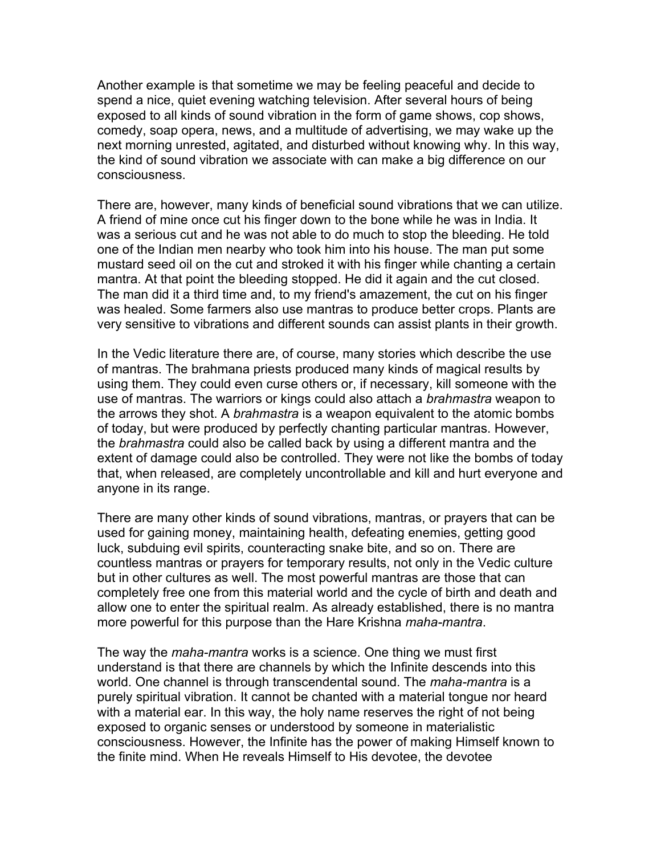Another example is that sometime we may be feeling peaceful and decide to spend a nice, quiet evening watching television. After several hours of being exposed to all kinds of sound vibration in the form of game shows, cop shows, comedy, soap opera, news, and a multitude of advertising, we may wake up the next morning unrested, agitated, and disturbed without knowing why. In this way, the kind of sound vibration we associate with can make a big difference on our consciousness.

There are, however, many kinds of beneficial sound vibrations that we can utilize. A friend of mine once cut his finger down to the bone while he was in India. It was a serious cut and he was not able to do much to stop the bleeding. He told one of the Indian men nearby who took him into his house. The man put some mustard seed oil on the cut and stroked it with his finger while chanting a certain mantra. At that point the bleeding stopped. He did it again and the cut closed. The man did it a third time and, to my friend's amazement, the cut on his finger was healed. Some farmers also use mantras to produce better crops. Plants are very sensitive to vibrations and different sounds can assist plants in their growth.

In the Vedic literature there are, of course, many stories which describe the use of mantras. The brahmana priests produced many kinds of magical results by using them. They could even curse others or, if necessary, kill someone with the use of mantras. The warriors or kings could also attach a *brahmastra* weapon to the arrows they shot. A *brahmastra* is a weapon equivalent to the atomic bombs of today, but were produced by perfectly chanting particular mantras. However, the *brahmastra* could also be called back by using a different mantra and the extent of damage could also be controlled. They were not like the bombs of today that, when released, are completely uncontrollable and kill and hurt everyone and anyone in its range.

There are many other kinds of sound vibrations, mantras, or prayers that can be used for gaining money, maintaining health, defeating enemies, getting good luck, subduing evil spirits, counteracting snake bite, and so on. There are countless mantras or prayers for temporary results, not only in the Vedic culture but in other cultures as well. The most powerful mantras are those that can completely free one from this material world and the cycle of birth and death and allow one to enter the spiritual realm. As already established, there is no mantra more powerful for this purpose than the Hare Krishna *maha-mantra*.

The way the *maha-mantra* works is a science. One thing we must first understand is that there are channels by which the Infinite descends into this world. One channel is through transcendental sound. The *maha-mantra* is a purely spiritual vibration. It cannot be chanted with a material tongue nor heard with a material ear. In this way, the holy name reserves the right of not being exposed to organic senses or understood by someone in materialistic consciousness. However, the Infinite has the power of making Himself known to the finite mind. When He reveals Himself to His devotee, the devotee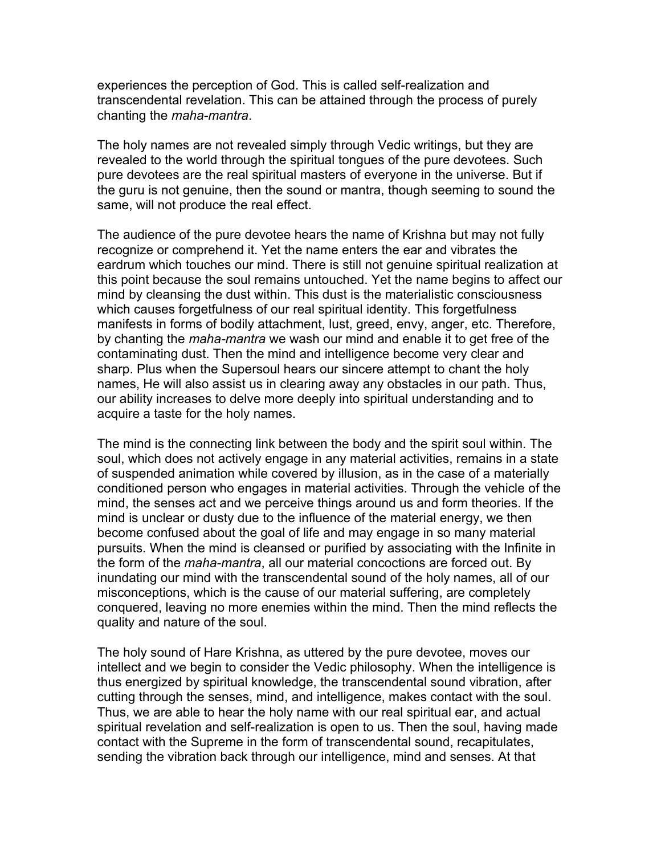experiences the perception of God. This is called self-realization and transcendental revelation. This can be attained through the process of purely chanting the *maha-mantra*.

The holy names are not revealed simply through Vedic writings, but they are revealed to the world through the spiritual tongues of the pure devotees. Such pure devotees are the real spiritual masters of everyone in the universe. But if the guru is not genuine, then the sound or mantra, though seeming to sound the same, will not produce the real effect.

The audience of the pure devotee hears the name of Krishna but may not fully recognize or comprehend it. Yet the name enters the ear and vibrates the eardrum which touches our mind. There is still not genuine spiritual realization at this point because the soul remains untouched. Yet the name begins to affect our mind by cleansing the dust within. This dust is the materialistic consciousness which causes forgetfulness of our real spiritual identity. This forgetfulness manifests in forms of bodily attachment, lust, greed, envy, anger, etc. Therefore, by chanting the *maha-mantra* we wash our mind and enable it to get free of the contaminating dust. Then the mind and intelligence become very clear and sharp. Plus when the Supersoul hears our sincere attempt to chant the holy names, He will also assist us in clearing away any obstacles in our path. Thus, our ability increases to delve more deeply into spiritual understanding and to acquire a taste for the holy names.

The mind is the connecting link between the body and the spirit soul within. The soul, which does not actively engage in any material activities, remains in a state of suspended animation while covered by illusion, as in the case of a materially conditioned person who engages in material activities. Through the vehicle of the mind, the senses act and we perceive things around us and form theories. If the mind is unclear or dusty due to the influence of the material energy, we then become confused about the goal of life and may engage in so many material pursuits. When the mind is cleansed or purified by associating with the Infinite in the form of the *maha-mantra*, all our material concoctions are forced out. By inundating our mind with the transcendental sound of the holy names, all of our misconceptions, which is the cause of our material suffering, are completely conquered, leaving no more enemies within the mind. Then the mind reflects the quality and nature of the soul.

The holy sound of Hare Krishna, as uttered by the pure devotee, moves our intellect and we begin to consider the Vedic philosophy. When the intelligence is thus energized by spiritual knowledge, the transcendental sound vibration, after cutting through the senses, mind, and intelligence, makes contact with the soul. Thus, we are able to hear the holy name with our real spiritual ear, and actual spiritual revelation and self-realization is open to us. Then the soul, having made contact with the Supreme in the form of transcendental sound, recapitulates, sending the vibration back through our intelligence, mind and senses. At that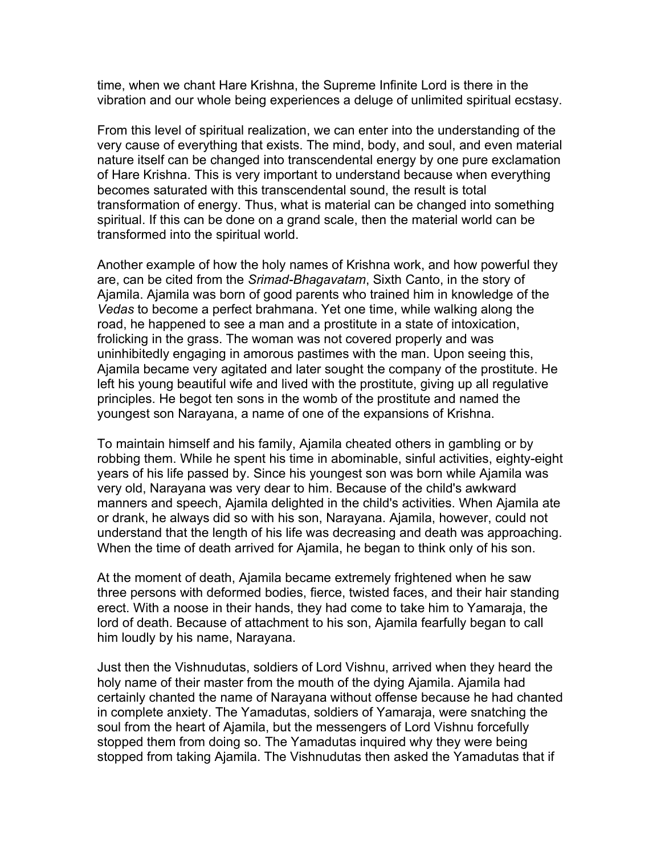time, when we chant Hare Krishna, the Supreme Infinite Lord is there in the vibration and our whole being experiences a deluge of unlimited spiritual ecstasy.

From this level of spiritual realization, we can enter into the understanding of the very cause of everything that exists. The mind, body, and soul, and even material nature itself can be changed into transcendental energy by one pure exclamation of Hare Krishna. This is very important to understand because when everything becomes saturated with this transcendental sound, the result is total transformation of energy. Thus, what is material can be changed into something spiritual. If this can be done on a grand scale, then the material world can be transformed into the spiritual world.

Another example of how the holy names of Krishna work, and how powerful they are, can be cited from the *Srimad-Bhagavatam*, Sixth Canto, in the story of Ajamila. Ajamila was born of good parents who trained him in knowledge of the *Vedas* to become a perfect brahmana. Yet one time, while walking along the road, he happened to see a man and a prostitute in a state of intoxication, frolicking in the grass. The woman was not covered properly and was uninhibitedly engaging in amorous pastimes with the man. Upon seeing this, Ajamila became very agitated and later sought the company of the prostitute. He left his young beautiful wife and lived with the prostitute, giving up all regulative principles. He begot ten sons in the womb of the prostitute and named the youngest son Narayana, a name of one of the expansions of Krishna.

To maintain himself and his family, Ajamila cheated others in gambling or by robbing them. While he spent his time in abominable, sinful activities, eighty-eight years of his life passed by. Since his youngest son was born while Ajamila was very old, Narayana was very dear to him. Because of the child's awkward manners and speech, Ajamila delighted in the child's activities. When Ajamila ate or drank, he always did so with his son, Narayana. Ajamila, however, could not understand that the length of his life was decreasing and death was approaching. When the time of death arrived for Ajamila, he began to think only of his son.

At the moment of death, Ajamila became extremely frightened when he saw three persons with deformed bodies, fierce, twisted faces, and their hair standing erect. With a noose in their hands, they had come to take him to Yamaraja, the lord of death. Because of attachment to his son, Ajamila fearfully began to call him loudly by his name, Narayana.

Just then the Vishnudutas, soldiers of Lord Vishnu, arrived when they heard the holy name of their master from the mouth of the dying Ajamila. Ajamila had certainly chanted the name of Narayana without offense because he had chanted in complete anxiety. The Yamadutas, soldiers of Yamaraja, were snatching the soul from the heart of Ajamila, but the messengers of Lord Vishnu forcefully stopped them from doing so. The Yamadutas inquired why they were being stopped from taking Ajamila. The Vishnudutas then asked the Yamadutas that if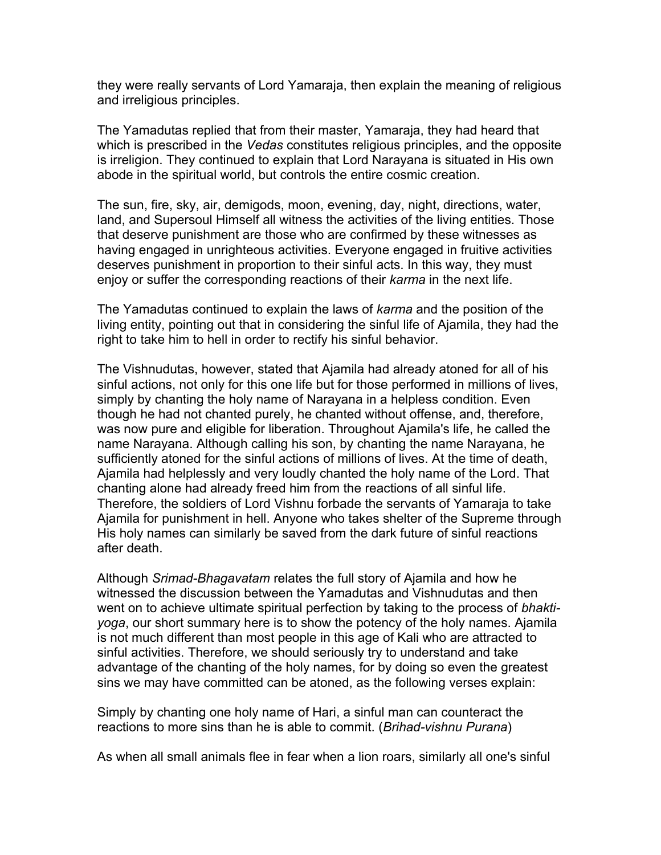they were really servants of Lord Yamaraja, then explain the meaning of religious and irreligious principles.

The Yamadutas replied that from their master, Yamaraja, they had heard that which is prescribed in the *Vedas* constitutes religious principles, and the opposite is irreligion. They continued to explain that Lord Narayana is situated in His own abode in the spiritual world, but controls the entire cosmic creation.

The sun, fire, sky, air, demigods, moon, evening, day, night, directions, water, land, and Supersoul Himself all witness the activities of the living entities. Those that deserve punishment are those who are confirmed by these witnesses as having engaged in unrighteous activities. Everyone engaged in fruitive activities deserves punishment in proportion to their sinful acts. In this way, they must enjoy or suffer the corresponding reactions of their *karma* in the next life.

The Yamadutas continued to explain the laws of *karma* and the position of the living entity, pointing out that in considering the sinful life of Ajamila, they had the right to take him to hell in order to rectify his sinful behavior.

The Vishnudutas, however, stated that Ajamila had already atoned for all of his sinful actions, not only for this one life but for those performed in millions of lives, simply by chanting the holy name of Narayana in a helpless condition. Even though he had not chanted purely, he chanted without offense, and, therefore, was now pure and eligible for liberation. Throughout Ajamila's life, he called the name Narayana. Although calling his son, by chanting the name Narayana, he sufficiently atoned for the sinful actions of millions of lives. At the time of death, Ajamila had helplessly and very loudly chanted the holy name of the Lord. That chanting alone had already freed him from the reactions of all sinful life. Therefore, the soldiers of Lord Vishnu forbade the servants of Yamaraja to take Ajamila for punishment in hell. Anyone who takes shelter of the Supreme through His holy names can similarly be saved from the dark future of sinful reactions after death.

Although *Srimad-Bhagavatam* relates the full story of Ajamila and how he witnessed the discussion between the Yamadutas and Vishnudutas and then went on to achieve ultimate spiritual perfection by taking to the process of *bhaktiyoga*, our short summary here is to show the potency of the holy names. Ajamila is not much different than most people in this age of Kali who are attracted to sinful activities. Therefore, we should seriously try to understand and take advantage of the chanting of the holy names, for by doing so even the greatest sins we may have committed can be atoned, as the following verses explain:

Simply by chanting one holy name of Hari, a sinful man can counteract the reactions to more sins than he is able to commit. (*Brihad-vishnu Purana*)

As when all small animals flee in fear when a lion roars, similarly all one's sinful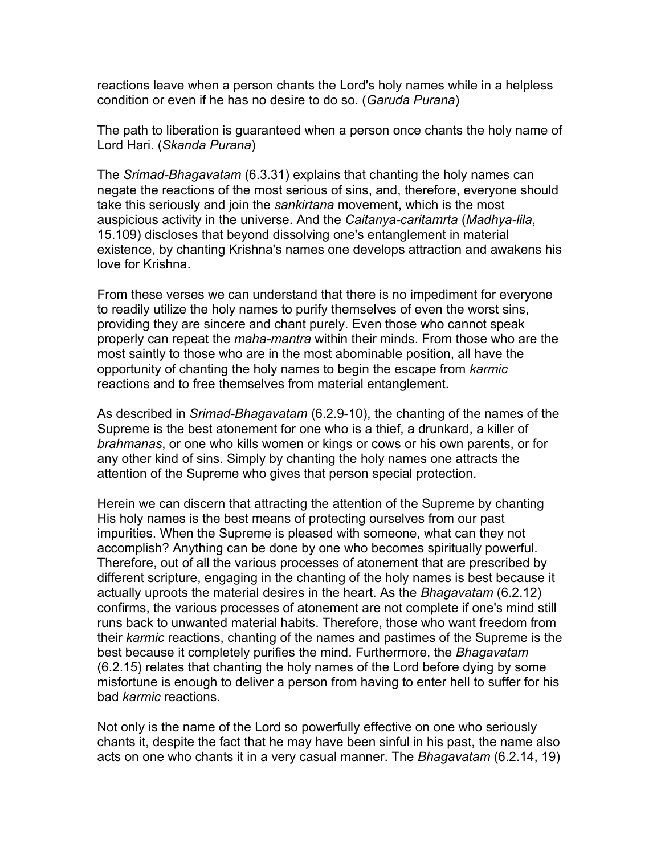reactions leave when a person chants the Lord's holy names while in a helpless condition or even if he has no desire to do so. (*Garuda Purana*)

The path to liberation is guaranteed when a person once chants the holy name of Lord Hari. (*Skanda Purana*)

The *Srimad-Bhagavatam* (6.3.31) explains that chanting the holy names can negate the reactions of the most serious of sins, and, therefore, everyone should take this seriously and join the *sankirtana* movement, which is the most auspicious activity in the universe. And the *Caitanya-caritamrta* (*Madhya-lila*, 15.109) discloses that beyond dissolving one's entanglement in material existence, by chanting Krishna's names one develops attraction and awakens his love for Krishna.

From these verses we can understand that there is no impediment for everyone to readily utilize the holy names to purify themselves of even the worst sins, providing they are sincere and chant purely. Even those who cannot speak properly can repeat the *maha-mantra* within their minds. From those who are the most saintly to those who are in the most abominable position, all have the opportunity of chanting the holy names to begin the escape from *karmic* reactions and to free themselves from material entanglement.

As described in *Srimad-Bhagavatam* (6.2.9-10), the chanting of the names of the Supreme is the best atonement for one who is a thief, a drunkard, a killer of *brahmanas*, or one who kills women or kings or cows or his own parents, or for any other kind of sins. Simply by chanting the holy names one attracts the attention of the Supreme who gives that person special protection.

Herein we can discern that attracting the attention of the Supreme by chanting His holy names is the best means of protecting ourselves from our past impurities. When the Supreme is pleased with someone, what can they not accomplish? Anything can be done by one who becomes spiritually powerful. Therefore, out of all the various processes of atonement that are prescribed by different scripture, engaging in the chanting of the holy names is best because it actually uproots the material desires in the heart. As the *Bhagavatam* (6.2.12) confirms, the various processes of atonement are not complete if one's mind still runs back to unwanted material habits. Therefore, those who want freedom from their *karmic* reactions, chanting of the names and pastimes of the Supreme is the best because it completely purifies the mind. Furthermore, the *Bhagavatam* (6.2.15) relates that chanting the holy names of the Lord before dying by some misfortune is enough to deliver a person from having to enter hell to suffer for his bad *karmic* reactions.

Not only is the name of the Lord so powerfully effective on one who seriously chants it, despite the fact that he may have been sinful in his past, the name also acts on one who chants it in a very casual manner. The *Bhagavatam* (6.2.14, 19)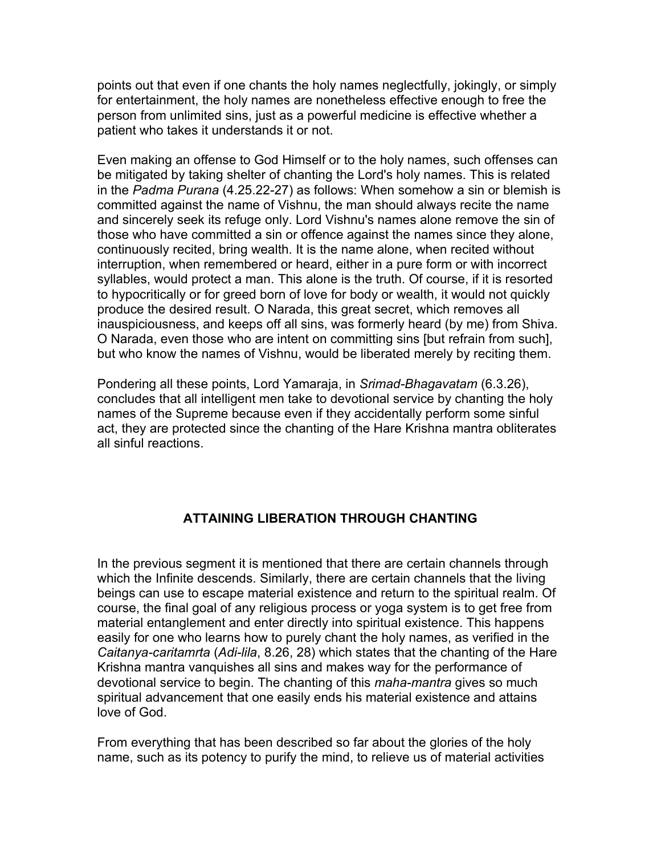points out that even if one chants the holy names neglectfully, jokingly, or simply for entertainment, the holy names are nonetheless effective enough to free the person from unlimited sins, just as a powerful medicine is effective whether a patient who takes it understands it or not.

Even making an offense to God Himself or to the holy names, such offenses can be mitigated by taking shelter of chanting the Lord's holy names. This is related in the *Padma Purana* (4.25.22-27) as follows: When somehow a sin or blemish is committed against the name of Vishnu, the man should always recite the name and sincerely seek its refuge only. Lord Vishnu's names alone remove the sin of those who have committed a sin or offence against the names since they alone, continuously recited, bring wealth. It is the name alone, when recited without interruption, when remembered or heard, either in a pure form or with incorrect syllables, would protect a man. This alone is the truth. Of course, if it is resorted to hypocritically or for greed born of love for body or wealth, it would not quickly produce the desired result. O Narada, this great secret, which removes all inauspiciousness, and keeps off all sins, was formerly heard (by me) from Shiva. O Narada, even those who are intent on committing sins [but refrain from such], but who know the names of Vishnu, would be liberated merely by reciting them.

Pondering all these points, Lord Yamaraja, in *Srimad-Bhagavatam* (6.3.26), concludes that all intelligent men take to devotional service by chanting the holy names of the Supreme because even if they accidentally perform some sinful act, they are protected since the chanting of the Hare Krishna mantra obliterates all sinful reactions.

# **ATTAINING LIBERATION THROUGH CHANTING**

In the previous segment it is mentioned that there are certain channels through which the Infinite descends. Similarly, there are certain channels that the living beings can use to escape material existence and return to the spiritual realm. Of course, the final goal of any religious process or yoga system is to get free from material entanglement and enter directly into spiritual existence. This happens easily for one who learns how to purely chant the holy names, as verified in the *Caitanya-caritamrta* (*Adi-lila*, 8.26, 28) which states that the chanting of the Hare Krishna mantra vanquishes all sins and makes way for the performance of devotional service to begin. The chanting of this *maha-mantra* gives so much spiritual advancement that one easily ends his material existence and attains love of God.

From everything that has been described so far about the glories of the holy name, such as its potency to purify the mind, to relieve us of material activities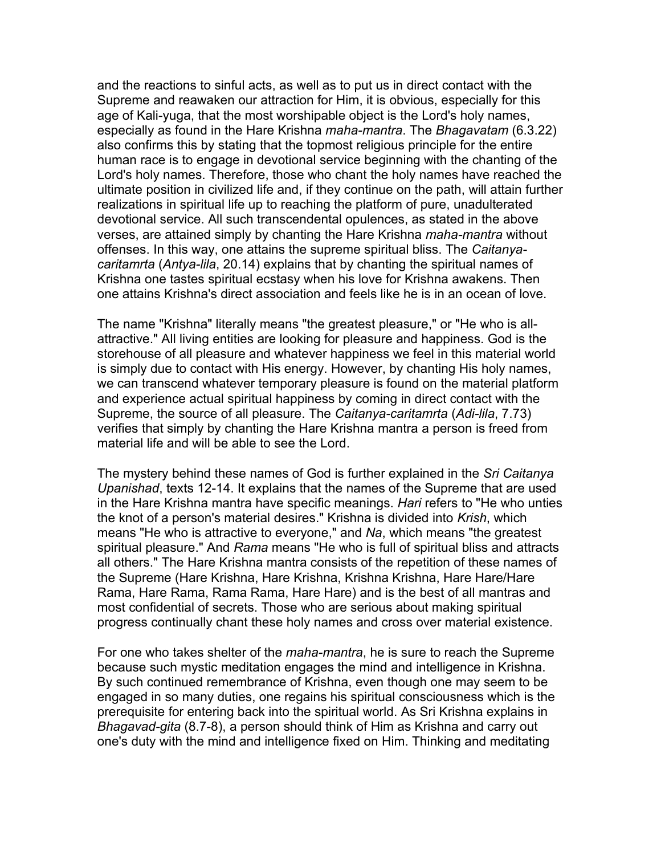and the reactions to sinful acts, as well as to put us in direct contact with the Supreme and reawaken our attraction for Him, it is obvious, especially for this age of Kali-yuga, that the most worshipable object is the Lord's holy names, especially as found in the Hare Krishna *maha-mantra*. The *Bhagavatam* (6.3.22) also confirms this by stating that the topmost religious principle for the entire human race is to engage in devotional service beginning with the chanting of the Lord's holy names. Therefore, those who chant the holy names have reached the ultimate position in civilized life and, if they continue on the path, will attain further realizations in spiritual life up to reaching the platform of pure, unadulterated devotional service. All such transcendental opulences, as stated in the above verses, are attained simply by chanting the Hare Krishna *maha-mantra* without offenses. In this way, one attains the supreme spiritual bliss. The *Caitanyacaritamrta* (*Antya-lila*, 20.14) explains that by chanting the spiritual names of Krishna one tastes spiritual ecstasy when his love for Krishna awakens. Then one attains Krishna's direct association and feels like he is in an ocean of love.

The name "Krishna" literally means "the greatest pleasure," or "He who is allattractive." All living entities are looking for pleasure and happiness. God is the storehouse of all pleasure and whatever happiness we feel in this material world is simply due to contact with His energy. However, by chanting His holy names, we can transcend whatever temporary pleasure is found on the material platform and experience actual spiritual happiness by coming in direct contact with the Supreme, the source of all pleasure. The *Caitanya-caritamrta* (*Adi-lila*, 7.73) verifies that simply by chanting the Hare Krishna mantra a person is freed from material life and will be able to see the Lord.

The mystery behind these names of God is further explained in the *Sri Caitanya Upanishad*, texts 12-14. It explains that the names of the Supreme that are used in the Hare Krishna mantra have specific meanings. *Hari* refers to "He who unties the knot of a person's material desires." Krishna is divided into *Krish*, which means "He who is attractive to everyone," and *Na*, which means "the greatest spiritual pleasure." And *Rama* means "He who is full of spiritual bliss and attracts all others." The Hare Krishna mantra consists of the repetition of these names of the Supreme (Hare Krishna, Hare Krishna, Krishna Krishna, Hare Hare/Hare Rama, Hare Rama, Rama Rama, Hare Hare) and is the best of all mantras and most confidential of secrets. Those who are serious about making spiritual progress continually chant these holy names and cross over material existence.

For one who takes shelter of the *maha-mantra*, he is sure to reach the Supreme because such mystic meditation engages the mind and intelligence in Krishna. By such continued remembrance of Krishna, even though one may seem to be engaged in so many duties, one regains his spiritual consciousness which is the prerequisite for entering back into the spiritual world. As Sri Krishna explains in *Bhagavad-gita* (8.7-8), a person should think of Him as Krishna and carry out one's duty with the mind and intelligence fixed on Him. Thinking and meditating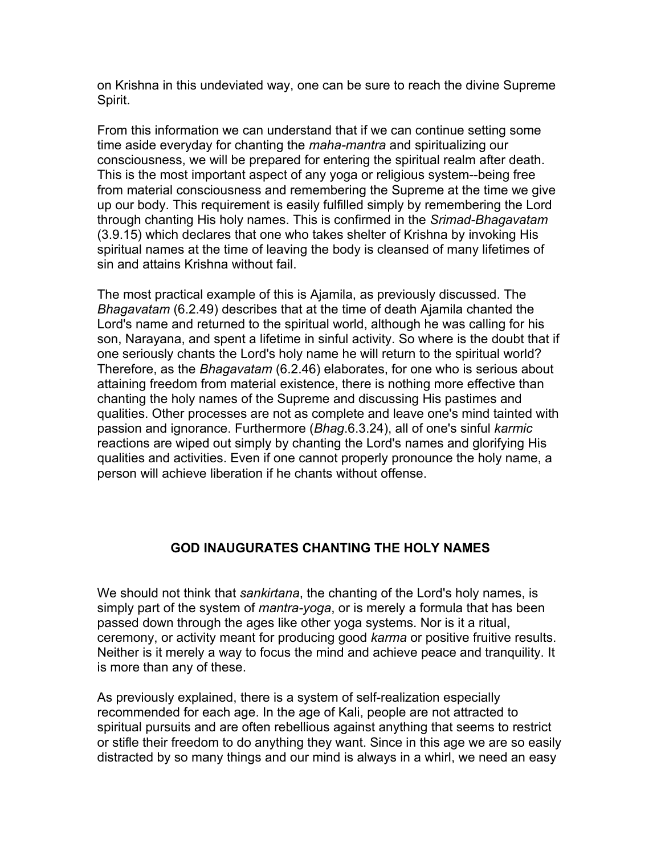on Krishna in this undeviated way, one can be sure to reach the divine Supreme Spirit.

From this information we can understand that if we can continue setting some time aside everyday for chanting the *maha-mantra* and spiritualizing our consciousness, we will be prepared for entering the spiritual realm after death. This is the most important aspect of any yoga or religious system--being free from material consciousness and remembering the Supreme at the time we give up our body. This requirement is easily fulfilled simply by remembering the Lord through chanting His holy names. This is confirmed in the *Srimad-Bhagavatam* (3.9.15) which declares that one who takes shelter of Krishna by invoking His spiritual names at the time of leaving the body is cleansed of many lifetimes of sin and attains Krishna without fail.

The most practical example of this is Ajamila, as previously discussed. The *Bhagavatam* (6.2.49) describes that at the time of death Ajamila chanted the Lord's name and returned to the spiritual world, although he was calling for his son, Narayana, and spent a lifetime in sinful activity. So where is the doubt that if one seriously chants the Lord's holy name he will return to the spiritual world? Therefore, as the *Bhagavatam* (6.2.46) elaborates, for one who is serious about attaining freedom from material existence, there is nothing more effective than chanting the holy names of the Supreme and discussing His pastimes and qualities. Other processes are not as complete and leave one's mind tainted with passion and ignorance. Furthermore (*Bhag*.6.3.24), all of one's sinful *karmic* reactions are wiped out simply by chanting the Lord's names and glorifying His qualities and activities. Even if one cannot properly pronounce the holy name, a person will achieve liberation if he chants without offense.

## **GOD INAUGURATES CHANTING THE HOLY NAMES**

We should not think that *sankirtana*, the chanting of the Lord's holy names, is simply part of the system of *mantra-yoga*, or is merely a formula that has been passed down through the ages like other yoga systems. Nor is it a ritual, ceremony, or activity meant for producing good *karma* or positive fruitive results. Neither is it merely a way to focus the mind and achieve peace and tranquility. It is more than any of these.

As previously explained, there is a system of self-realization especially recommended for each age. In the age of Kali, people are not attracted to spiritual pursuits and are often rebellious against anything that seems to restrict or stifle their freedom to do anything they want. Since in this age we are so easily distracted by so many things and our mind is always in a whirl, we need an easy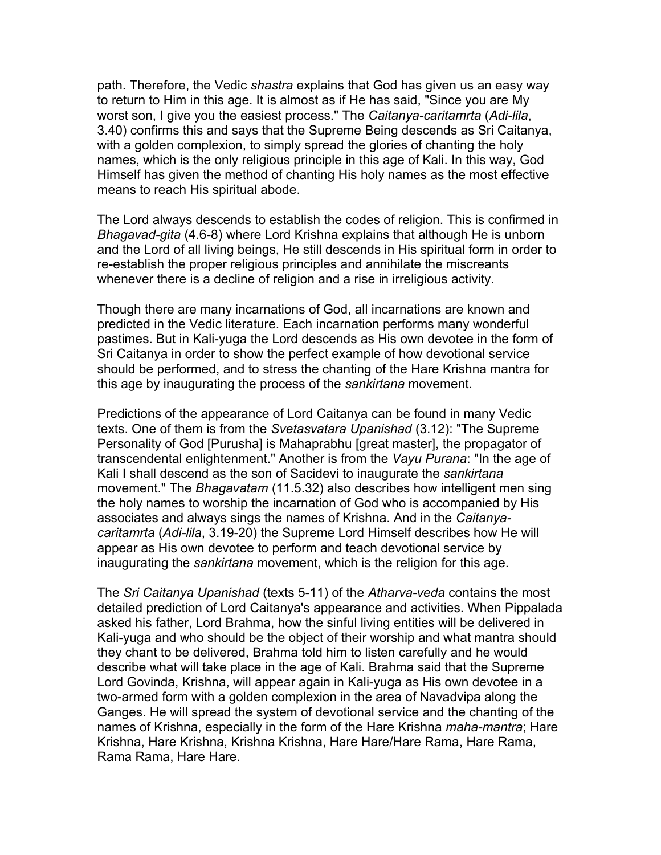path. Therefore, the Vedic *shastra* explains that God has given us an easy way to return to Him in this age. It is almost as if He has said, "Since you are My worst son, I give you the easiest process." The *Caitanya-caritamrta* (*Adi-lila*, 3.40) confirms this and says that the Supreme Being descends as Sri Caitanya, with a golden complexion, to simply spread the glories of chanting the holy names, which is the only religious principle in this age of Kali. In this way, God Himself has given the method of chanting His holy names as the most effective means to reach His spiritual abode.

The Lord always descends to establish the codes of religion. This is confirmed in *Bhagavad-gita* (4.6-8) where Lord Krishna explains that although He is unborn and the Lord of all living beings, He still descends in His spiritual form in order to re-establish the proper religious principles and annihilate the miscreants whenever there is a decline of religion and a rise in irreligious activity.

Though there are many incarnations of God, all incarnations are known and predicted in the Vedic literature. Each incarnation performs many wonderful pastimes. But in Kali-yuga the Lord descends as His own devotee in the form of Sri Caitanya in order to show the perfect example of how devotional service should be performed, and to stress the chanting of the Hare Krishna mantra for this age by inaugurating the process of the *sankirtana* movement.

Predictions of the appearance of Lord Caitanya can be found in many Vedic texts. One of them is from the *Svetasvatara Upanishad* (3.12): "The Supreme Personality of God [Purusha] is Mahaprabhu [great master], the propagator of transcendental enlightenment." Another is from the *Vayu Purana*: "In the age of Kali I shall descend as the son of Sacidevi to inaugurate the *sankirtana* movement." The *Bhagavatam* (11.5.32) also describes how intelligent men sing the holy names to worship the incarnation of God who is accompanied by His associates and always sings the names of Krishna. And in the *Caitanyacaritamrta* (*Adi-lila*, 3.19-20) the Supreme Lord Himself describes how He will appear as His own devotee to perform and teach devotional service by inaugurating the *sankirtana* movement, which is the religion for this age.

The *Sri Caitanya Upanishad* (texts 5-11) of the *Atharva-veda* contains the most detailed prediction of Lord Caitanya's appearance and activities. When Pippalada asked his father, Lord Brahma, how the sinful living entities will be delivered in Kali-yuga and who should be the object of their worship and what mantra should they chant to be delivered, Brahma told him to listen carefully and he would describe what will take place in the age of Kali. Brahma said that the Supreme Lord Govinda, Krishna, will appear again in Kali-yuga as His own devotee in a two-armed form with a golden complexion in the area of Navadvipa along the Ganges. He will spread the system of devotional service and the chanting of the names of Krishna, especially in the form of the Hare Krishna *maha-mantra*; Hare Krishna, Hare Krishna, Krishna Krishna, Hare Hare/Hare Rama, Hare Rama, Rama Rama, Hare Hare.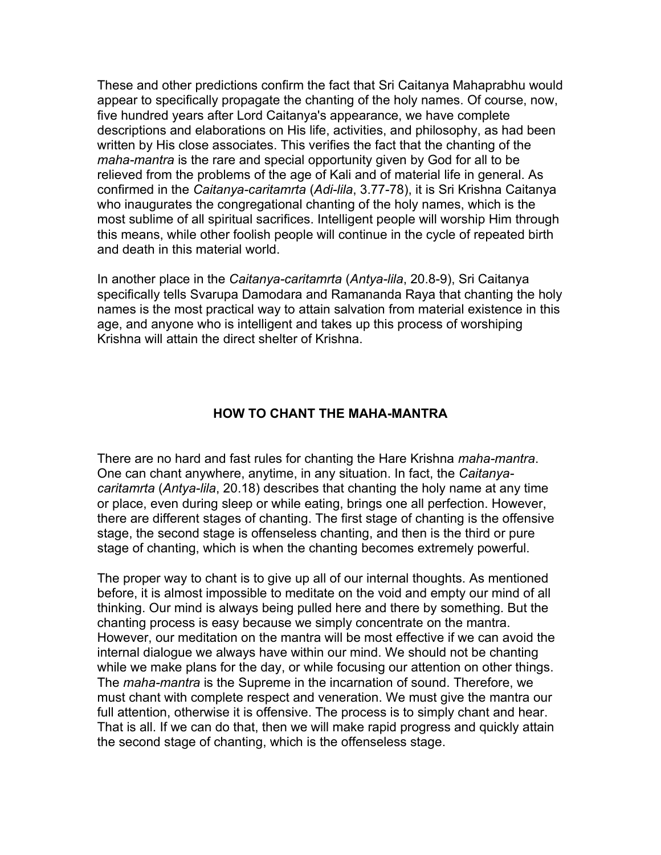These and other predictions confirm the fact that Sri Caitanya Mahaprabhu would appear to specifically propagate the chanting of the holy names. Of course, now, five hundred years after Lord Caitanya's appearance, we have complete descriptions and elaborations on His life, activities, and philosophy, as had been written by His close associates. This verifies the fact that the chanting of the *maha-mantra* is the rare and special opportunity given by God for all to be relieved from the problems of the age of Kali and of material life in general. As confirmed in the *Caitanya-caritamrta* (*Adi-lila*, 3.77-78), it is Sri Krishna Caitanya who inaugurates the congregational chanting of the holy names, which is the most sublime of all spiritual sacrifices. Intelligent people will worship Him through this means, while other foolish people will continue in the cycle of repeated birth and death in this material world.

In another place in the *Caitanya-caritamrta* (*Antya-lila*, 20.8-9), Sri Caitanya specifically tells Svarupa Damodara and Ramananda Raya that chanting the holy names is the most practical way to attain salvation from material existence in this age, and anyone who is intelligent and takes up this process of worshiping Krishna will attain the direct shelter of Krishna.

#### **HOW TO CHANT THE MAHA-MANTRA**

There are no hard and fast rules for chanting the Hare Krishna *maha-mantra*. One can chant anywhere, anytime, in any situation. In fact, the *Caitanyacaritamrta* (*Antya-lila*, 20.18) describes that chanting the holy name at any time or place, even during sleep or while eating, brings one all perfection. However, there are different stages of chanting. The first stage of chanting is the offensive stage, the second stage is offenseless chanting, and then is the third or pure stage of chanting, which is when the chanting becomes extremely powerful.

The proper way to chant is to give up all of our internal thoughts. As mentioned before, it is almost impossible to meditate on the void and empty our mind of all thinking. Our mind is always being pulled here and there by something. But the chanting process is easy because we simply concentrate on the mantra. However, our meditation on the mantra will be most effective if we can avoid the internal dialogue we always have within our mind. We should not be chanting while we make plans for the day, or while focusing our attention on other things. The *maha-mantra* is the Supreme in the incarnation of sound. Therefore, we must chant with complete respect and veneration. We must give the mantra our full attention, otherwise it is offensive. The process is to simply chant and hear. That is all. If we can do that, then we will make rapid progress and quickly attain the second stage of chanting, which is the offenseless stage.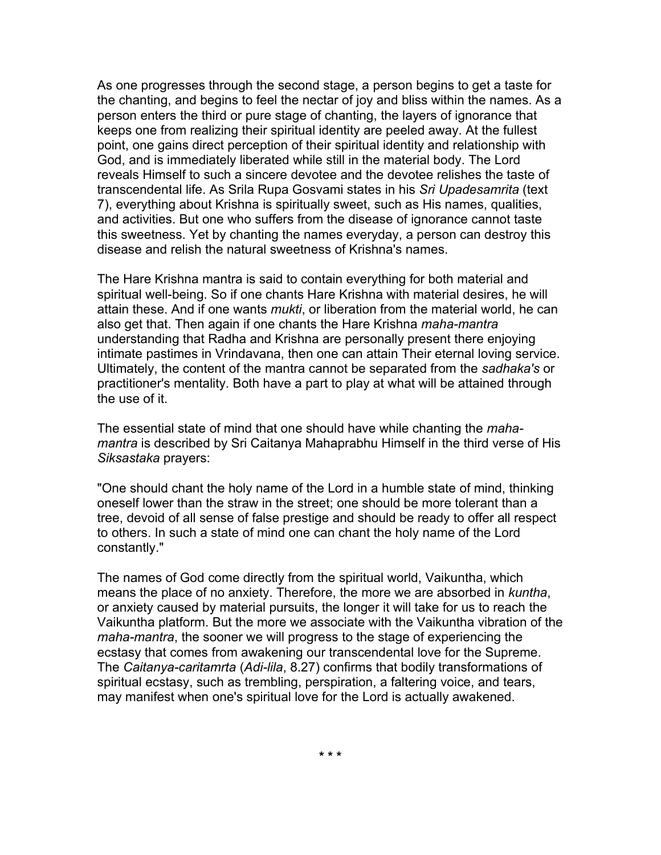As one progresses through the second stage, a person begins to get a taste for the chanting, and begins to feel the nectar of joy and bliss within the names. As a person enters the third or pure stage of chanting, the layers of ignorance that keeps one from realizing their spiritual identity are peeled away. At the fullest point, one gains direct perception of their spiritual identity and relationship with God, and is immediately liberated while still in the material body. The Lord reveals Himself to such a sincere devotee and the devotee relishes the taste of transcendental life. As Srila Rupa Gosvami states in his *Sri Upadesamrita* (text 7), everything about Krishna is spiritually sweet, such as His names, qualities, and activities. But one who suffers from the disease of ignorance cannot taste this sweetness. Yet by chanting the names everyday, a person can destroy this disease and relish the natural sweetness of Krishna's names.

The Hare Krishna mantra is said to contain everything for both material and spiritual well-being. So if one chants Hare Krishna with material desires, he will attain these. And if one wants *mukti*, or liberation from the material world, he can also get that. Then again if one chants the Hare Krishna *maha-mantra* understanding that Radha and Krishna are personally present there enjoying intimate pastimes in Vrindavana, then one can attain Their eternal loving service. Ultimately, the content of the mantra cannot be separated from the *sadhaka's* or practitioner's mentality. Both have a part to play at what will be attained through the use of it.

The essential state of mind that one should have while chanting the *mahamantra* is described by Sri Caitanya Mahaprabhu Himself in the third verse of His *Siksastaka* prayers:

"One should chant the holy name of the Lord in a humble state of mind, thinking oneself lower than the straw in the street; one should be more tolerant than a tree, devoid of all sense of false prestige and should be ready to offer all respect to others. In such a state of mind one can chant the holy name of the Lord constantly."

The names of God come directly from the spiritual world, Vaikuntha, which means the place of no anxiety. Therefore, the more we are absorbed in *kuntha*, or anxiety caused by material pursuits, the longer it will take for us to reach the Vaikuntha platform. But the more we associate with the Vaikuntha vibration of the *maha-mantra*, the sooner we will progress to the stage of experiencing the ecstasy that comes from awakening our transcendental love for the Supreme. The *Caitanya-caritamrta* (*Adi-lila*, 8.27) confirms that bodily transformations of spiritual ecstasy, such as trembling, perspiration, a faltering voice, and tears, may manifest when one's spiritual love for the Lord is actually awakened.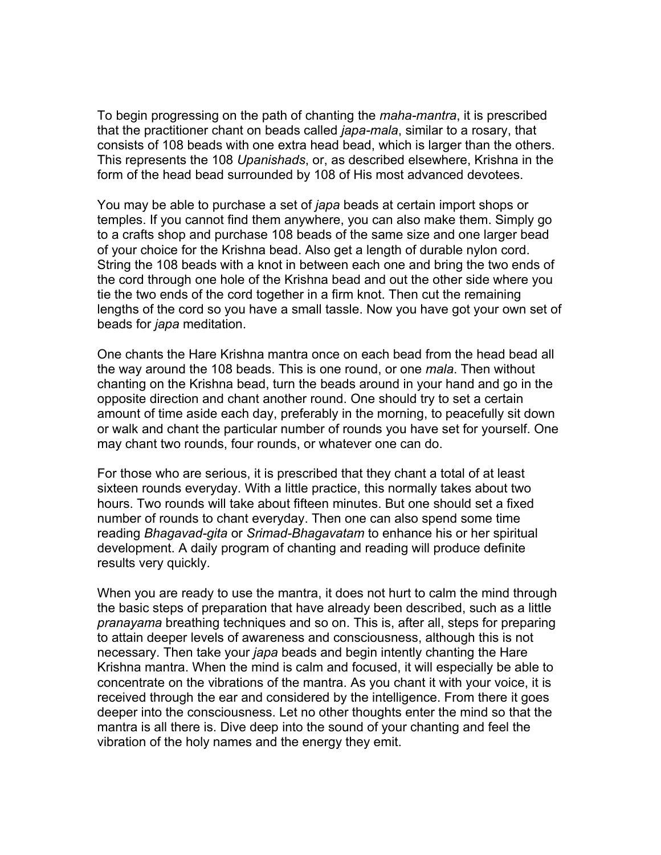To begin progressing on the path of chanting the *maha-mantra*, it is prescribed that the practitioner chant on beads called *japa-mala*, similar to a rosary, that consists of 108 beads with one extra head bead, which is larger than the others. This represents the 108 *Upanishads*, or, as described elsewhere, Krishna in the form of the head bead surrounded by 108 of His most advanced devotees.

You may be able to purchase a set of *japa* beads at certain import shops or temples. If you cannot find them anywhere, you can also make them. Simply go to a crafts shop and purchase 108 beads of the same size and one larger bead of your choice for the Krishna bead. Also get a length of durable nylon cord. String the 108 beads with a knot in between each one and bring the two ends of the cord through one hole of the Krishna bead and out the other side where you tie the two ends of the cord together in a firm knot. Then cut the remaining lengths of the cord so you have a small tassle. Now you have got your own set of beads for *japa* meditation.

One chants the Hare Krishna mantra once on each bead from the head bead all the way around the 108 beads. This is one round, or one *mala*. Then without chanting on the Krishna bead, turn the beads around in your hand and go in the opposite direction and chant another round. One should try to set a certain amount of time aside each day, preferably in the morning, to peacefully sit down or walk and chant the particular number of rounds you have set for yourself. One may chant two rounds, four rounds, or whatever one can do.

For those who are serious, it is prescribed that they chant a total of at least sixteen rounds everyday. With a little practice, this normally takes about two hours. Two rounds will take about fifteen minutes. But one should set a fixed number of rounds to chant everyday. Then one can also spend some time reading *Bhagavad-gita* or *Srimad-Bhagavatam* to enhance his or her spiritual development. A daily program of chanting and reading will produce definite results very quickly.

When you are ready to use the mantra, it does not hurt to calm the mind through the basic steps of preparation that have already been described, such as a little *pranayama* breathing techniques and so on. This is, after all, steps for preparing to attain deeper levels of awareness and consciousness, although this is not necessary. Then take your *japa* beads and begin intently chanting the Hare Krishna mantra. When the mind is calm and focused, it will especially be able to concentrate on the vibrations of the mantra. As you chant it with your voice, it is received through the ear and considered by the intelligence. From there it goes deeper into the consciousness. Let no other thoughts enter the mind so that the mantra is all there is. Dive deep into the sound of your chanting and feel the vibration of the holy names and the energy they emit.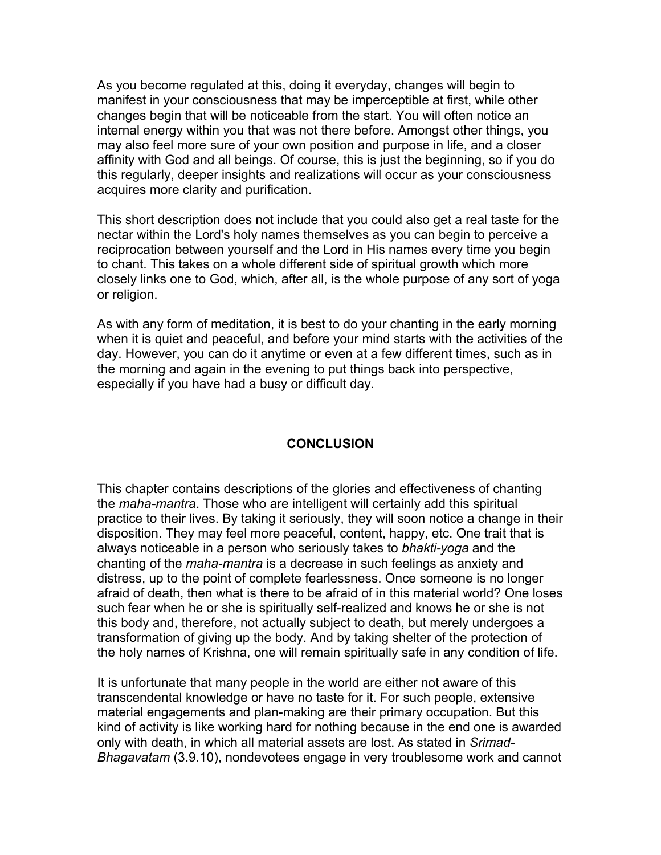As you become regulated at this, doing it everyday, changes will begin to manifest in your consciousness that may be imperceptible at first, while other changes begin that will be noticeable from the start. You will often notice an internal energy within you that was not there before. Amongst other things, you may also feel more sure of your own position and purpose in life, and a closer affinity with God and all beings. Of course, this is just the beginning, so if you do this regularly, deeper insights and realizations will occur as your consciousness acquires more clarity and purification.

This short description does not include that you could also get a real taste for the nectar within the Lord's holy names themselves as you can begin to perceive a reciprocation between yourself and the Lord in His names every time you begin to chant. This takes on a whole different side of spiritual growth which more closely links one to God, which, after all, is the whole purpose of any sort of yoga or religion.

As with any form of meditation, it is best to do your chanting in the early morning when it is quiet and peaceful, and before your mind starts with the activities of the day. However, you can do it anytime or even at a few different times, such as in the morning and again in the evening to put things back into perspective, especially if you have had a busy or difficult day.

## **CONCLUSION**

This chapter contains descriptions of the glories and effectiveness of chanting the *maha-mantra*. Those who are intelligent will certainly add this spiritual practice to their lives. By taking it seriously, they will soon notice a change in their disposition. They may feel more peaceful, content, happy, etc. One trait that is always noticeable in a person who seriously takes to *bhakti-yoga* and the chanting of the *maha-mantra* is a decrease in such feelings as anxiety and distress, up to the point of complete fearlessness. Once someone is no longer afraid of death, then what is there to be afraid of in this material world? One loses such fear when he or she is spiritually self-realized and knows he or she is not this body and, therefore, not actually subject to death, but merely undergoes a transformation of giving up the body. And by taking shelter of the protection of the holy names of Krishna, one will remain spiritually safe in any condition of life.

It is unfortunate that many people in the world are either not aware of this transcendental knowledge or have no taste for it. For such people, extensive material engagements and plan-making are their primary occupation. But this kind of activity is like working hard for nothing because in the end one is awarded only with death, in which all material assets are lost. As stated in *Srimad-Bhagavatam* (3.9.10), nondevotees engage in very troublesome work and cannot